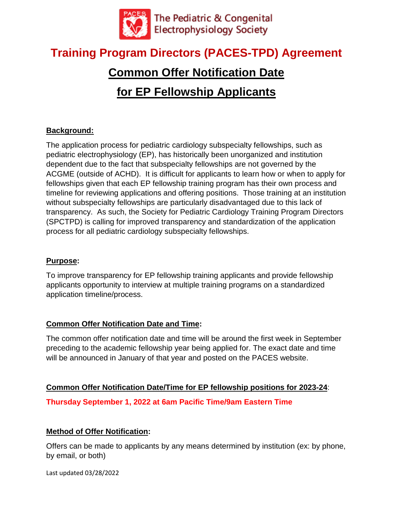

# **Training Program Directors (PACES-TPD) Agreement**

# **Common Offer Notification Date for EP Fellowship Applicants**

# **Background:**

The application process for pediatric cardiology subspecialty fellowships, such as pediatric electrophysiology (EP), has historically been unorganized and institution dependent due to the fact that subspecialty fellowships are not governed by the ACGME (outside of ACHD). It is difficult for applicants to learn how or when to apply for fellowships given that each EP fellowship training program has their own process and timeline for reviewing applications and offering positions. Those training at an institution without subspecialty fellowships are particularly disadvantaged due to this lack of transparency. As such, the Society for Pediatric Cardiology Training Program Directors (SPCTPD) is calling for improved transparency and standardization of the application process for all pediatric cardiology subspecialty fellowships.

#### **Purpose:**

To improve transparency for EP fellowship training applicants and provide fellowship applicants opportunity to interview at multiple training programs on a standardized application timeline/process.

## **Common Offer Notification Date and Time:**

The common offer notification date and time will be around the first week in September preceding to the academic fellowship year being applied for. The exact date and time will be announced in January of that year and posted on the PACES website.

#### **Common Offer Notification Date/Time for EP fellowship positions for 2023-24**:

**Thursday September 1, 2022 at 6am Pacific Time/9am Eastern Time**

## **Method of Offer Notification:**

Offers can be made to applicants by any means determined by institution (ex: by phone, by email, or both)

Last updated 03/28/2022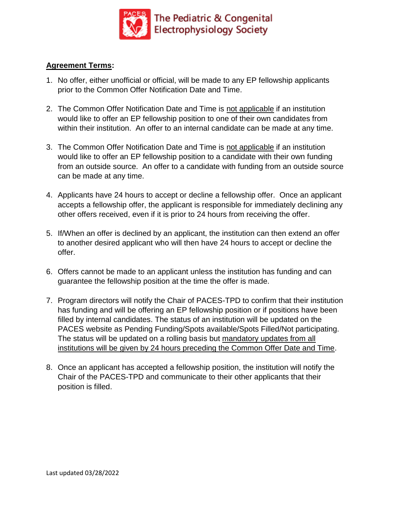

#### **Agreement Terms:**

- 1. No offer, either unofficial or official, will be made to any EP fellowship applicants prior to the Common Offer Notification Date and Time.
- 2. The Common Offer Notification Date and Time is not applicable if an institution would like to offer an EP fellowship position to one of their own candidates from within their institution. An offer to an internal candidate can be made at any time.
- 3. The Common Offer Notification Date and Time is not applicable if an institution would like to offer an EP fellowship position to a candidate with their own funding from an outside source. An offer to a candidate with funding from an outside source can be made at any time.
- 4. Applicants have 24 hours to accept or decline a fellowship offer. Once an applicant accepts a fellowship offer, the applicant is responsible for immediately declining any other offers received, even if it is prior to 24 hours from receiving the offer.
- 5. If/When an offer is declined by an applicant, the institution can then extend an offer to another desired applicant who will then have 24 hours to accept or decline the offer.
- 6. Offers cannot be made to an applicant unless the institution has funding and can guarantee the fellowship position at the time the offer is made.
- 7. Program directors will notify the Chair of PACES-TPD to confirm that their institution has funding and will be offering an EP fellowship position or if positions have been filled by internal candidates. The status of an institution will be updated on the PACES website as Pending Funding/Spots available/Spots Filled/Not participating. The status will be updated on a rolling basis but mandatory updates from all institutions will be given by 24 hours preceding the Common Offer Date and Time.
- 8. Once an applicant has accepted a fellowship position, the institution will notify the Chair of the PACES-TPD and communicate to their other applicants that their position is filled.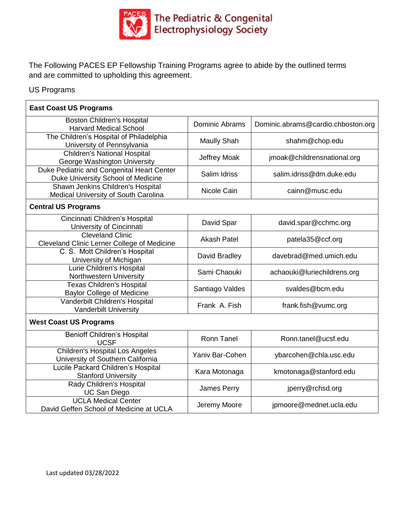

The Following PACES EP Fellowship Training Programs agree to abide by the outlined terms and are committed to upholding this agreement.

#### US Programs

| <b>East Coast US Programs</b>                                                    |                       |                                    |
|----------------------------------------------------------------------------------|-----------------------|------------------------------------|
| <b>Boston Children's Hospital</b><br><b>Harvard Medical School</b>               | <b>Dominic Abrams</b> | Dominic.abrams@cardio.chboston.org |
| The Children's Hospital of Philadelphia<br>University of Pennsylvania            | <b>Maully Shah</b>    | shahm@chop.edu                     |
| <b>Children's National Hospital</b><br>George Washington University              | <b>Jeffrey Moak</b>   | jmoak@childrensnational.org        |
| Duke Pediatric and Congenital Heart Center<br>Duke University School of Medicine | Salim Idriss          | salim.idriss@dm.duke.edu           |
| Shawn Jenkins Children's Hospital<br>Medical University of South Carolina        | Nicole Cain           | cainn@musc.edu                     |
| <b>Central US Programs</b>                                                       |                       |                                    |
| Cincinnati Children's Hospital<br>University of Cincinnati                       | David Spar            | david.spar@cchmc.org               |
| <b>Cleveland Clinic</b><br>Cleveland Clinic Lerner College of Medicine           | <b>Akash Patel</b>    | patela35@ccf.org                   |
| C. S. Mott Children's Hospital<br>University of Michigan                         | David Bradley         | davebrad@med.umich.edu             |
| Lurie Children's Hospital<br>Northwestern University                             | Sami Chaouki          | achaouki@luriechildrens.org        |
| <b>Texas Children's Hospital</b><br><b>Baylor College of Medicine</b>            | Santiago Valdes       | svaldes@bcm.edu                    |
| Vanderbilt Children's Hospital<br><b>Vanderbilt University</b>                   | Frank A. Fish         | frank.fish@vumc.org                |
| <b>West Coast US Programs</b>                                                    |                       |                                    |
| <b>Benioff Children's Hospital</b><br><b>UCSF</b>                                | <b>Ronn Tanel</b>     | Ronn.tanel@ucsf.edu                |
| <b>Children's Hospital Los Angeles</b><br>University of Southern California      | Yaniv Bar-Cohen       | ybarcohen@chla.usc.edu             |
| Lucile Packard Children's Hospital<br><b>Stanford University</b>                 | Kara Motonaga         | kmotonaga@stanford.edu             |
| Rady Children's Hospital<br><b>UC San Diego</b>                                  | James Perry           | jperry@rchsd.org                   |
| <b>UCLA Medical Center</b><br>David Geffen School of Medicine at UCLA            | Jeremy Moore          | jpmoore@mednet.ucla.edu            |